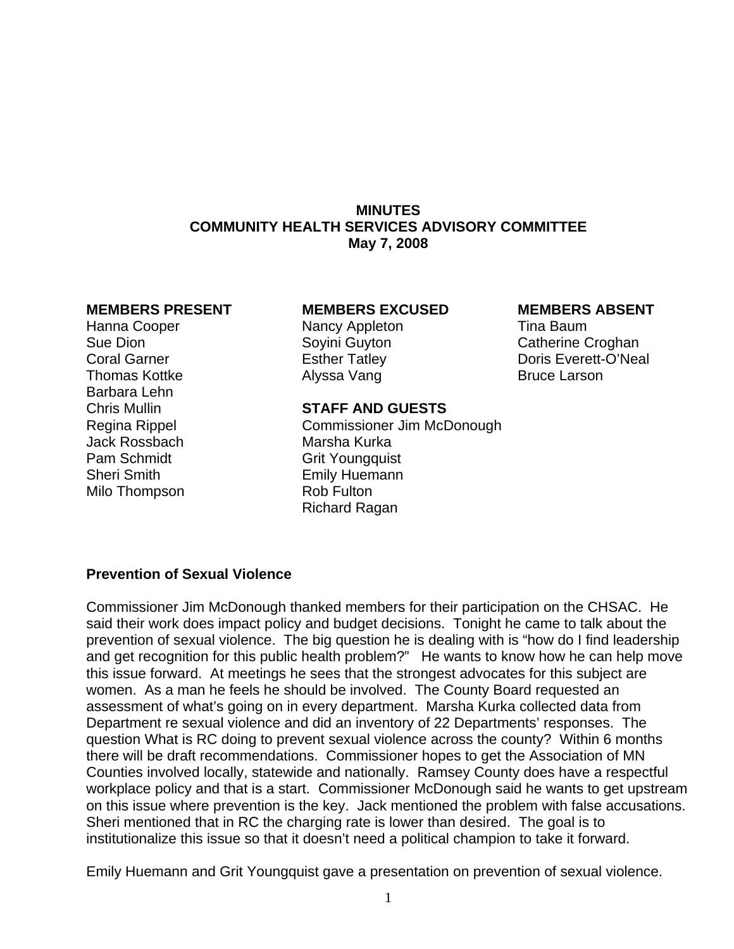## **MINUTES COMMUNITY HEALTH SERVICES ADVISORY COMMITTEE May 7, 2008**

Barbara Lehn Jack Rossbach Marsha Kurka Pam Schmidt Grit Youngquist Sheri Smith Emily Huemann Milo Thompson Rob Fulton

#### **MEMBERS PRESENT MEMBERS EXCUSED MEMBERS ABSENT**

Hanna Cooper **Nancy Appleton Nancy Appleton** Tina Baum Thomas Kottke **Alyssa Vang** Bruce Larson

Sue Dion Soyini Guyton Catherine Croghan Coral Garner **Esther Tatley** Coral Garner **Coral Garner** Coral Coral Everett-O'Neal

## Chris Mullin **STAFF AND GUESTS**

Regina Rippel Commissioner Jim McDonough Richard Ragan

# **Prevention of Sexual Violence**

Commissioner Jim McDonough thanked members for their participation on the CHSAC. He said their work does impact policy and budget decisions. Tonight he came to talk about the prevention of sexual violence. The big question he is dealing with is "how do I find leadership and get recognition for this public health problem?" He wants to know how he can help move this issue forward. At meetings he sees that the strongest advocates for this subject are women. As a man he feels he should be involved. The County Board requested an assessment of what's going on in every department. Marsha Kurka collected data from Department re sexual violence and did an inventory of 22 Departments' responses. The question What is RC doing to prevent sexual violence across the county? Within 6 months there will be draft recommendations. Commissioner hopes to get the Association of MN Counties involved locally, statewide and nationally. Ramsey County does have a respectful workplace policy and that is a start. Commissioner McDonough said he wants to get upstream on this issue where prevention is the key. Jack mentioned the problem with false accusations. Sheri mentioned that in RC the charging rate is lower than desired. The goal is to institutionalize this issue so that it doesn't need a political champion to take it forward.

Emily Huemann and Grit Youngquist gave a presentation on prevention of sexual violence.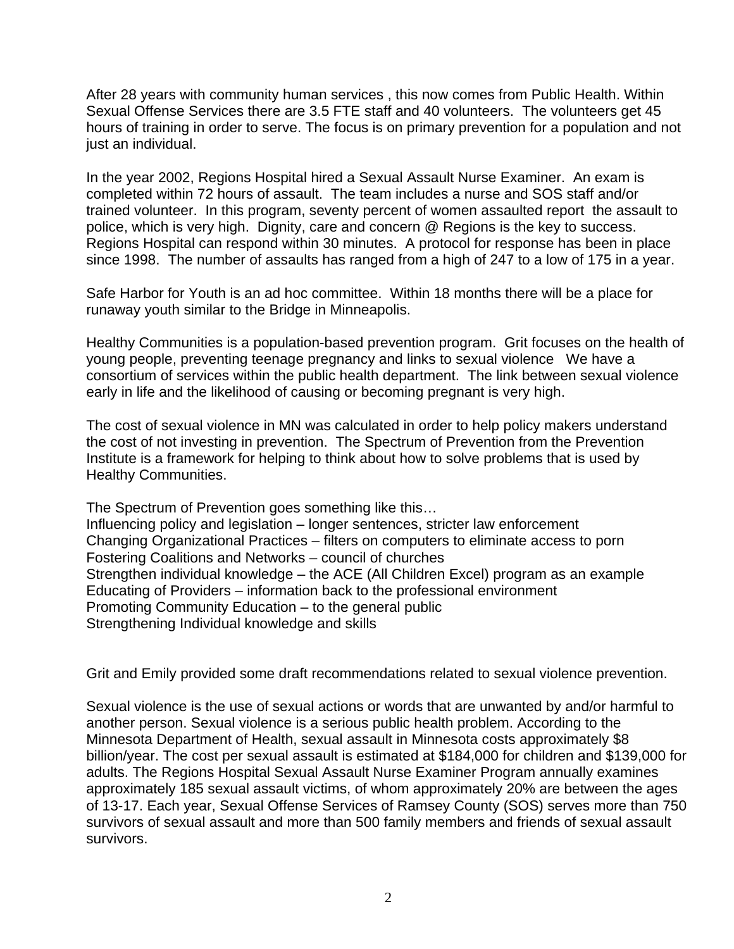After 28 years with community human services , this now comes from Public Health. Within Sexual Offense Services there are 3.5 FTE staff and 40 volunteers. The volunteers get 45 hours of training in order to serve. The focus is on primary prevention for a population and not just an individual.

In the year 2002, Regions Hospital hired a Sexual Assault Nurse Examiner. An exam is completed within 72 hours of assault. The team includes a nurse and SOS staff and/or trained volunteer. In this program, seventy percent of women assaulted report the assault to police, which is very high. Dignity, care and concern @ Regions is the key to success. Regions Hospital can respond within 30 minutes. A protocol for response has been in place since 1998. The number of assaults has ranged from a high of 247 to a low of 175 in a year.

Safe Harbor for Youth is an ad hoc committee. Within 18 months there will be a place for runaway youth similar to the Bridge in Minneapolis.

Healthy Communities is a population-based prevention program. Grit focuses on the health of young people, preventing teenage pregnancy and links to sexual violence We have a consortium of services within the public health department. The link between sexual violence early in life and the likelihood of causing or becoming pregnant is very high.

The cost of sexual violence in MN was calculated in order to help policy makers understand the cost of not investing in prevention. The Spectrum of Prevention from the Prevention Institute is a framework for helping to think about how to solve problems that is used by Healthy Communities.

The Spectrum of Prevention goes something like this… Influencing policy and legislation – longer sentences, stricter law enforcement Changing Organizational Practices – filters on computers to eliminate access to porn Fostering Coalitions and Networks – council of churches Strengthen individual knowledge – the ACE (All Children Excel) program as an example Educating of Providers – information back to the professional environment Promoting Community Education – to the general public Strengthening Individual knowledge and skills

Grit and Emily provided some draft recommendations related to sexual violence prevention.

Sexual violence is the use of sexual actions or words that are unwanted by and/or harmful to another person. Sexual violence is a serious public health problem. According to the Minnesota Department of Health, sexual assault in Minnesota costs approximately \$8 billion/year. The cost per sexual assault is estimated at \$184,000 for children and \$139,000 for adults. The Regions Hospital Sexual Assault Nurse Examiner Program annually examines approximately 185 sexual assault victims, of whom approximately 20% are between the ages of 13-17. Each year, Sexual Offense Services of Ramsey County (SOS) serves more than 750 survivors of sexual assault and more than 500 family members and friends of sexual assault survivors.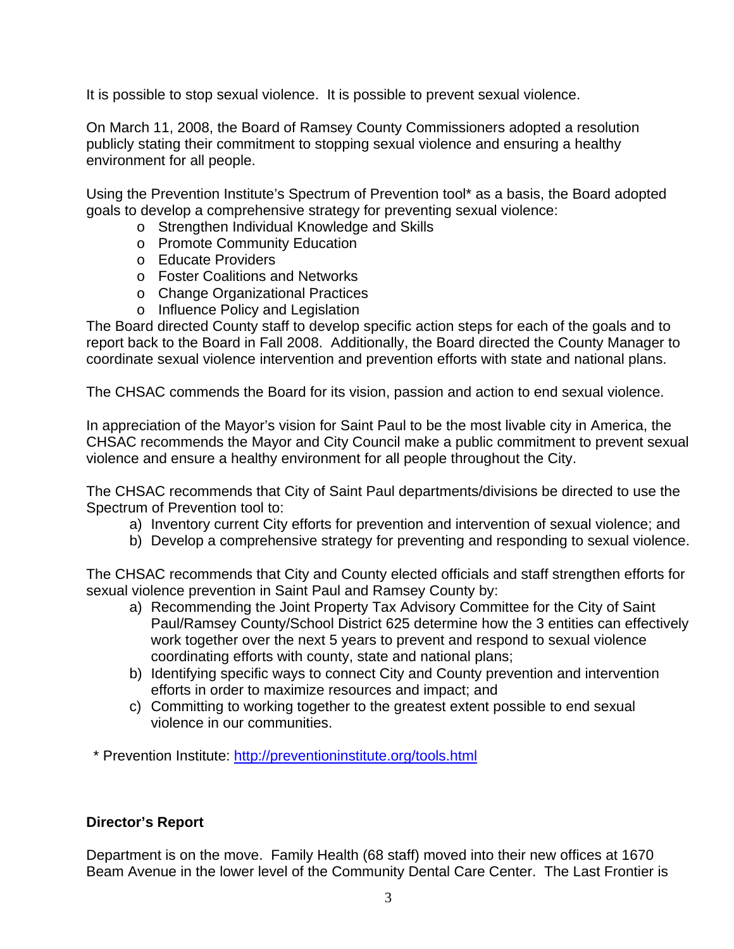It is possible to stop sexual violence. It is possible to prevent sexual violence.

On March 11, 2008, the Board of Ramsey County Commissioners adopted a resolution publicly stating their commitment to stopping sexual violence and ensuring a healthy environment for all people.

Using the Prevention Institute's Spectrum of Prevention tool\* as a basis, the Board adopted goals to develop a comprehensive strategy for preventing sexual violence:

- o Strengthen Individual Knowledge and Skills
- o Promote Community Education
- o Educate Providers
- o Foster Coalitions and Networks
- o Change Organizational Practices
- o Influence Policy and Legislation

The Board directed County staff to develop specific action steps for each of the goals and to report back to the Board in Fall 2008. Additionally, the Board directed the County Manager to coordinate sexual violence intervention and prevention efforts with state and national plans.

The CHSAC commends the Board for its vision, passion and action to end sexual violence.

In appreciation of the Mayor's vision for Saint Paul to be the most livable city in America, the CHSAC recommends the Mayor and City Council make a public commitment to prevent sexual violence and ensure a healthy environment for all people throughout the City.

The CHSAC recommends that City of Saint Paul departments/divisions be directed to use the Spectrum of Prevention tool to:

- a) Inventory current City efforts for prevention and intervention of sexual violence; and
- b) Develop a comprehensive strategy for preventing and responding to sexual violence.

The CHSAC recommends that City and County elected officials and staff strengthen efforts for sexual violence prevention in Saint Paul and Ramsey County by:

- a) Recommending the Joint Property Tax Advisory Committee for the City of Saint Paul/Ramsey County/School District 625 determine how the 3 entities can effectively work together over the next 5 years to prevent and respond to sexual violence coordinating efforts with county, state and national plans;
- b) Identifying specific ways to connect City and County prevention and intervention efforts in order to maximize resources and impact; and
- c) Committing to working together to the greatest extent possible to end sexual violence in our communities.

\* Prevention Institute: http://preventioninstitute.org/tools.html

# **Director's Report**

Department is on the move. Family Health (68 staff) moved into their new offices at 1670 Beam Avenue in the lower level of the Community Dental Care Center. The Last Frontier is